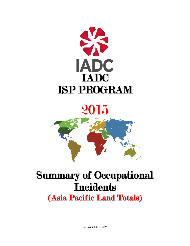

# 2015

# Summary of Occupational **Incidents** (Asia Pacific Land Totals)

Issued 15 July 2016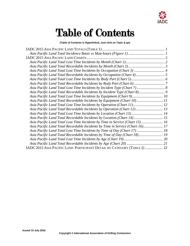

# Table of Contents

**(Table of Contents is Hyperlinked, Just click on Topic & go)**

| Asia Pacific Land Total Lost Time Incidents by Equipment (Chart 9) 10<br>Asia Pacific Land Total Recordable Incidents by Equipment (Chart 10) 11<br>Asia Pacific Land Total Lost Time Incidents by Operation (Chart 11) 12<br>Asia Pacific Land Total Recordable Incidents by Operation (Chart 12) 13<br>Asia Pacific Land Total Lost Time Incidents by Location (Chart 13) 14<br>Asia Pacific Land Total Recordable Incidents by Location (Chart 14) 15<br>Asia Pacific Land Total Lost Time Incidents by Time in Service (Chart 15) 16<br>Asia Pacific Land Total Recordable Incidents by Time in Service (Chart 16) 17<br>Asia Pacific Land Total Lost Time Incidents by Time of Day (Chart 17)  18<br>Asia Pacific Land Total Recordable Incidents by Time of Day (Chart 18) 19<br>IADC 2015 ASIA PACIFIC LAND PARTICIPANT DETAIL BY CATEGORY (TABLE 2)  22 |  |
|-----------------------------------------------------------------------------------------------------------------------------------------------------------------------------------------------------------------------------------------------------------------------------------------------------------------------------------------------------------------------------------------------------------------------------------------------------------------------------------------------------------------------------------------------------------------------------------------------------------------------------------------------------------------------------------------------------------------------------------------------------------------------------------------------------------------------------------------------------------------|--|
|                                                                                                                                                                                                                                                                                                                                                                                                                                                                                                                                                                                                                                                                                                                                                                                                                                                                 |  |
|                                                                                                                                                                                                                                                                                                                                                                                                                                                                                                                                                                                                                                                                                                                                                                                                                                                                 |  |
|                                                                                                                                                                                                                                                                                                                                                                                                                                                                                                                                                                                                                                                                                                                                                                                                                                                                 |  |
|                                                                                                                                                                                                                                                                                                                                                                                                                                                                                                                                                                                                                                                                                                                                                                                                                                                                 |  |
|                                                                                                                                                                                                                                                                                                                                                                                                                                                                                                                                                                                                                                                                                                                                                                                                                                                                 |  |
|                                                                                                                                                                                                                                                                                                                                                                                                                                                                                                                                                                                                                                                                                                                                                                                                                                                                 |  |
|                                                                                                                                                                                                                                                                                                                                                                                                                                                                                                                                                                                                                                                                                                                                                                                                                                                                 |  |
|                                                                                                                                                                                                                                                                                                                                                                                                                                                                                                                                                                                                                                                                                                                                                                                                                                                                 |  |
|                                                                                                                                                                                                                                                                                                                                                                                                                                                                                                                                                                                                                                                                                                                                                                                                                                                                 |  |
|                                                                                                                                                                                                                                                                                                                                                                                                                                                                                                                                                                                                                                                                                                                                                                                                                                                                 |  |
|                                                                                                                                                                                                                                                                                                                                                                                                                                                                                                                                                                                                                                                                                                                                                                                                                                                                 |  |
|                                                                                                                                                                                                                                                                                                                                                                                                                                                                                                                                                                                                                                                                                                                                                                                                                                                                 |  |
|                                                                                                                                                                                                                                                                                                                                                                                                                                                                                                                                                                                                                                                                                                                                                                                                                                                                 |  |
|                                                                                                                                                                                                                                                                                                                                                                                                                                                                                                                                                                                                                                                                                                                                                                                                                                                                 |  |
|                                                                                                                                                                                                                                                                                                                                                                                                                                                                                                                                                                                                                                                                                                                                                                                                                                                                 |  |
|                                                                                                                                                                                                                                                                                                                                                                                                                                                                                                                                                                                                                                                                                                                                                                                                                                                                 |  |
|                                                                                                                                                                                                                                                                                                                                                                                                                                                                                                                                                                                                                                                                                                                                                                                                                                                                 |  |
|                                                                                                                                                                                                                                                                                                                                                                                                                                                                                                                                                                                                                                                                                                                                                                                                                                                                 |  |
|                                                                                                                                                                                                                                                                                                                                                                                                                                                                                                                                                                                                                                                                                                                                                                                                                                                                 |  |
|                                                                                                                                                                                                                                                                                                                                                                                                                                                                                                                                                                                                                                                                                                                                                                                                                                                                 |  |
|                                                                                                                                                                                                                                                                                                                                                                                                                                                                                                                                                                                                                                                                                                                                                                                                                                                                 |  |
|                                                                                                                                                                                                                                                                                                                                                                                                                                                                                                                                                                                                                                                                                                                                                                                                                                                                 |  |
|                                                                                                                                                                                                                                                                                                                                                                                                                                                                                                                                                                                                                                                                                                                                                                                                                                                                 |  |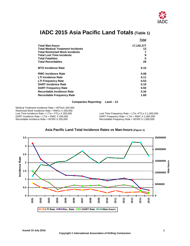

### **IADC 2015 Asia Pacific Land Totals (Table 1)**

<span id="page-2-0"></span>

|                                          | Total      |
|------------------------------------------|------------|
| <b>Total Man-hours</b>                   | 17,142,377 |
| <b>Total Medical Treatment Incidents</b> | 13         |
| <b>Total Restricted Work Incidents</b>   |            |
| <b>Total Lost Time Incidents</b>         | 9          |
| <b>Total Fatalities</b>                  | 0          |
| <b>Total Recordables</b>                 | 29         |
| <b>MTO Incidence Rate</b>                | 0.15       |
| <b>RWC Incidence Rate</b>                | 0.08       |
| <b>LTI Incidence Rate</b>                | 0.11       |
| <b>LTI Frequency Rate</b>                | 0.53       |
| <b>DART Incidence Rate</b>               | 0.19       |
| <b>DART Frequency Rate</b>               | 0.93       |
| <b>Recordable Incidence Rate</b>         | 0.34       |
| <b>Recordable Frequency Rate</b>         | 1.69       |

#### **Companies Reporting: Land – 13**

Medical Treatment Incidence Rate = MTOsX 200,000 Restricted Work Incidence Rate = RWCs X 200,000<br>Lost Time Incidence Rate = LTIs + FTLs X 200,000 Lost Time Incidence Rate = LTIs + FTLs X 200,000<br>DART Incidence Rate = LTIs + RWC X 200,000 DART Frequency Rate = LTIs + RWC X 1,000,000 DART Incidence Rate = LTIs + RWC X 200,000<br>Recordable Incidence Rate = RCRD X 200,000 DART Frequency Rate = RCRD X 1,000,000

Recordable Frequency Rate = RCRD  $X$  1,000,000

<span id="page-2-1"></span>

#### **Asia Pacific Land Total Incidence Rates vs Man-hours (Figure 1)**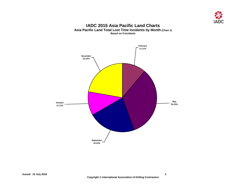

#### **IADC 2015 Asia Pacific Land Charts Asia Pacific Land Total Lost Time Incidents by Month (Chart 1) Based on 9 Incidents**

<span id="page-3-1"></span><span id="page-3-0"></span>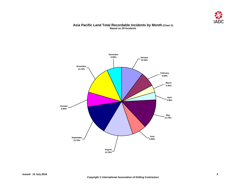

#### **Asia Pacific Land Total Recordable Incidents by Month (Chart 2) Based on 29 Incidents**

<span id="page-4-0"></span>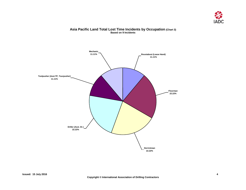

#### **Asia Pacific Land Total Lost Time Incidents by Occupation (Chart 3) Based on 9 Incidents**

<span id="page-5-0"></span>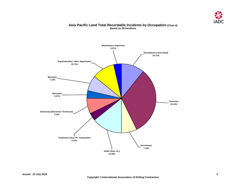

#### **Asia Pacific Land Total Recordable Incidents by Occupation (Chart 4) Based on 28 Incidents**

<span id="page-6-0"></span>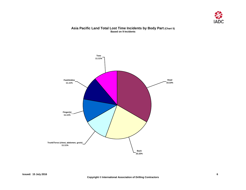

#### **Asia Pacific Land Total Lost Time Incidents by Body Part (Chart 5) Based on 9 Incidents**

<span id="page-7-0"></span>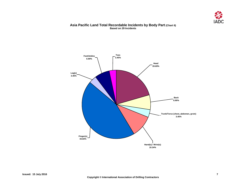

#### **Asia Pacific Land Total Recordable Incidents by Body Part (Chart 6) Based on 29 Incidents**

<span id="page-8-0"></span>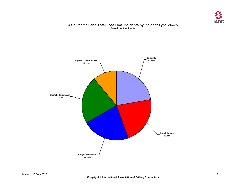

#### **Asia Pacific Land Total Lost Time Incidents by Incident Type (Chart 7) Based on 9 Incidents**

<span id="page-9-0"></span>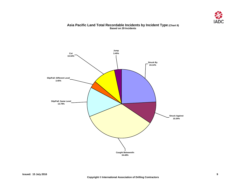

#### **Asia Pacific Land Total Recordable Incidents by Incident Type (Chart 8) Based on 29 Incidents**

<span id="page-10-0"></span>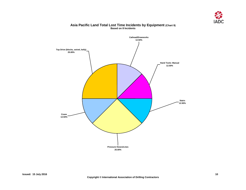

#### **Asia Pacific Land Total Lost Time Incidents by Equipment (Chart 9) Based on 8 Incidents**

<span id="page-11-0"></span>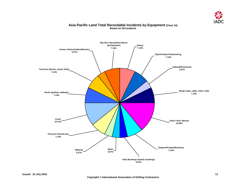

#### **Asia Pacific Land Total Recordable Incidents by Equipment (Chart 10) Based on 28 Incidents**

<span id="page-12-0"></span>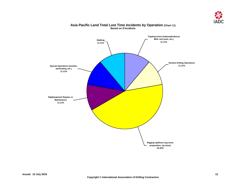

## <span id="page-13-0"></span>**Walking 11.11% Special Operations (wireline, perforating, etc.) 11.11% Rig/Equipment Repairs or Maintenance 11.11% Rigging Up/Down (rig move preparation, rig move) 44.44% Tripping in/out (makeup/brakeout BHA, test tools, etc.) 11.11% Routine Drilling Operations 11.11%**

#### **Asia Pacific Land Total Lost Time Incidents by Operation (Chart 11) Based on 9 Incidents**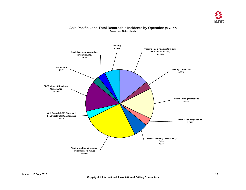

#### **Asia Pacific Land Total Recordable Incidents by Operation (Chart 12) Based on 28 Incidents**

<span id="page-14-0"></span>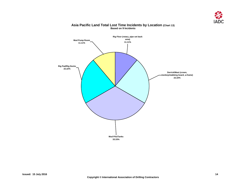

<span id="page-15-0"></span>

#### **Asia Pacific Land Total Lost Time Incidents by Location (Chart 13) Based on 9 Incidents**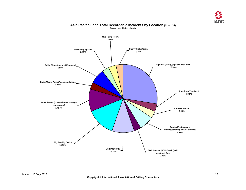

<span id="page-16-0"></span>

#### **Asia Pacific Land Total Recordable Incidents by Location (Chart 14) Based on 29 Incidents**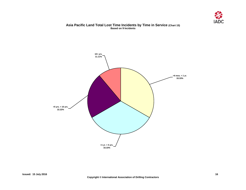

#### **Asia Pacific Land Total Lost Time Incidents by Time in Service (Chart 15) Based on 9 Incidents**

<span id="page-17-0"></span>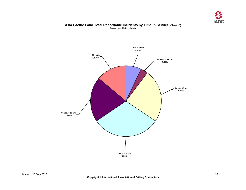

#### **Asia Pacific Land Total Recordable Incidents by Time in Service (Chart 16) Based on 29 Incidents**

<span id="page-18-0"></span>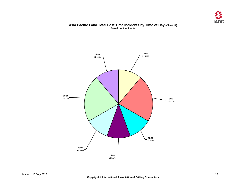

#### **Asia Pacific Land Total Lost Time Incidents by Time of Day (Chart 17) Based on 9 Incidents**

<span id="page-19-0"></span>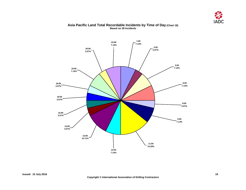

#### **Asia Pacific Land Total Recordable Incidents by Time of Day (Chart 18) Based on 28 Incidents**

<span id="page-20-0"></span>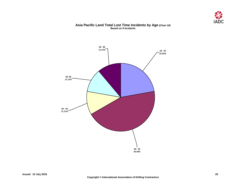

#### **Asia Pacific Land Total Lost Time Incidents by Age (Chart 19) Based on 9 Incidents**